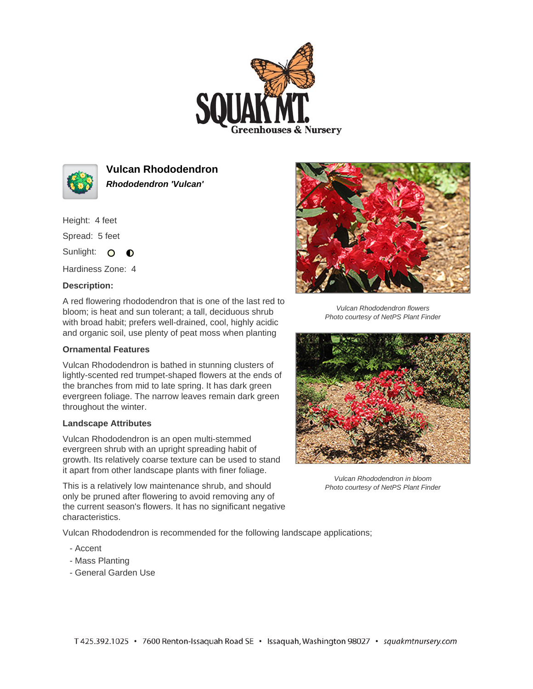



**Vulcan Rhododendron Rhododendron 'Vulcan'**

Height: 4 feet

Spread: 5 feet

Sunlight: O **O** 

Hardiness Zone: 4

## **Description:**

A red flowering rhododendron that is one of the last red to bloom; is heat and sun tolerant; a tall, deciduous shrub with broad habit; prefers well-drained, cool, highly acidic and organic soil, use plenty of peat moss when planting

## **Ornamental Features**

Vulcan Rhododendron is bathed in stunning clusters of lightly-scented red trumpet-shaped flowers at the ends of the branches from mid to late spring. It has dark green evergreen foliage. The narrow leaves remain dark green throughout the winter.

## **Landscape Attributes**

Vulcan Rhododendron is an open multi-stemmed evergreen shrub with an upright spreading habit of growth. Its relatively coarse texture can be used to stand it apart from other landscape plants with finer foliage.

This is a relatively low maintenance shrub, and should only be pruned after flowering to avoid removing any of the current season's flowers. It has no significant negative characteristics.

Vulcan Rhododendron is recommended for the following landscape applications;

- Accent
- Mass Planting
- General Garden Use



Vulcan Rhododendron flowers Photo courtesy of NetPS Plant Finder



Vulcan Rhododendron in bloom Photo courtesy of NetPS Plant Finder